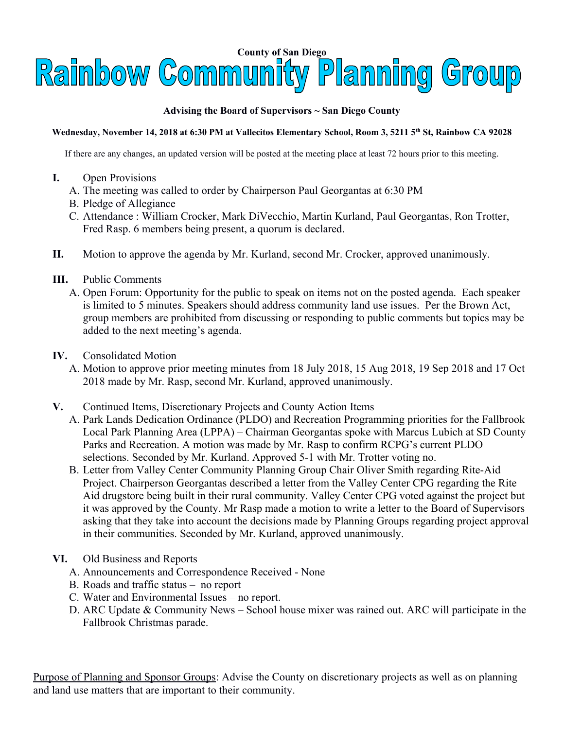

## **Advising the Board of Supervisors ~ San Diego County**

## **Wednesday, November 14, 2018 at 6:30 PM at Vallecitos Elementary School, Room 3, 5211 5th St, Rainbow CA 92028**

If there are any changes, an updated version will be posted at the meeting place at least 72 hours prior to this meeting.

- **I.** Open Provisions
	- A. The meeting was called to order by Chairperson Paul Georgantas at 6:30 PM
	- B. Pledge of Allegiance
	- C. Attendance : William Crocker, Mark DiVecchio, Martin Kurland, Paul Georgantas, Ron Trotter, Fred Rasp. 6 members being present, a quorum is declared.
- **II.** Motion to approve the agenda by Mr. Kurland, second Mr. Crocker, approved unanimously.
- **III.** Public Comments
	- A. Open Forum: Opportunity for the public to speak on items not on the posted agenda. Each speaker is limited to 5 minutes. Speakers should address community land use issues. Per the Brown Act, group members are prohibited from discussing or responding to public comments but topics may be added to the next meeting's agenda.
- **IV.** Consolidated Motion
	- A. Motion to approve prior meeting minutes from 18 July 2018, 15 Aug 2018, 19 Sep 2018 and 17 Oct 2018 made by Mr. Rasp, second Mr. Kurland, approved unanimously.
- **V.** Continued Items, Discretionary Projects and County Action Items
	- A. Park Lands Dedication Ordinance (PLDO) and Recreation Programming priorities for the Fallbrook Local Park Planning Area (LPPA) – Chairman Georgantas spoke with Marcus Lubich at SD County Parks and Recreation. A motion was made by Mr. Rasp to confirm RCPG's current PLDO selections. Seconded by Mr. Kurland. Approved 5-1 with Mr. Trotter voting no.
	- B. Letter from Valley Center Community Planning Group Chair Oliver Smith regarding Rite-Aid Project. Chairperson Georgantas described a letter from the Valley Center CPG regarding the Rite Aid drugstore being built in their rural community. Valley Center CPG voted against the project but it was approved by the County. Mr Rasp made a motion to write a letter to the Board of Supervisors asking that they take into account the decisions made by Planning Groups regarding project approval in their communities. Seconded by Mr. Kurland, approved unanimously.
- **VI.** Old Business and Reports
	- A. Announcements and Correspondence Received None
	- B. Roads and traffic status no report
	- C. Water and Environmental Issues no report.
	- D. ARC Update & Community News School house mixer was rained out. ARC will participate in the Fallbrook Christmas parade.

Purpose of Planning and Sponsor Groups: Advise the County on discretionary projects as well as on planning and land use matters that are important to their community.